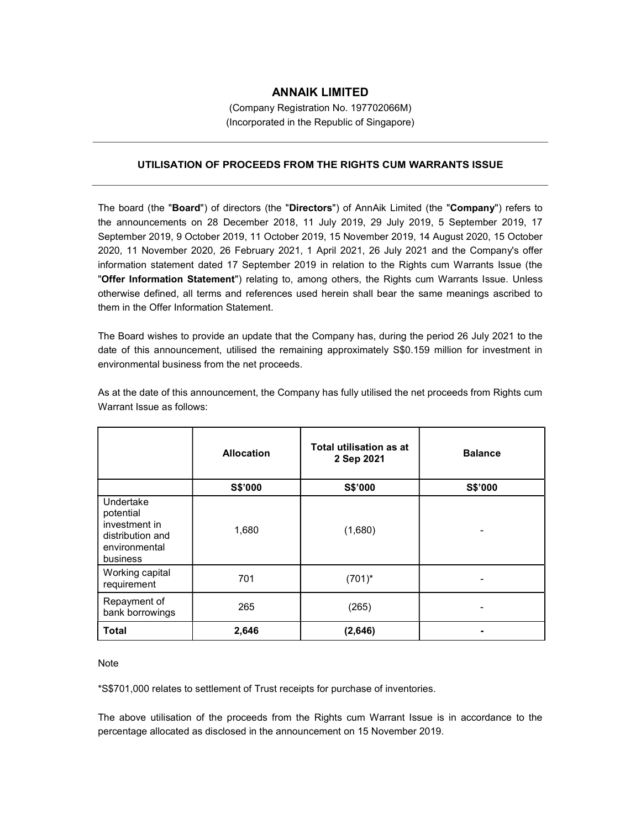## ANNAIK LIMITED

(Company Registration No. 197702066M) (Incorporated in the Republic of Singapore)

## UTILISATION OF PROCEEDS FROM THE RIGHTS CUM WARRANTS ISSUE

The board (the "Board") of directors (the "Directors") of AnnAik Limited (the "Company") refers to the announcements on 28 December 2018, 11 July 2019, 29 July 2019, 5 September 2019, 17 September 2019, 9 October 2019, 11 October 2019, 15 November 2019, 14 August 2020, 15 October 2020, 11 November 2020, 26 February 2021, 1 April 2021, 26 July 2021 and the Company's offer information statement dated 17 September 2019 in relation to the Rights cum Warrants Issue (the "Offer Information Statement") relating to, among others, the Rights cum Warrants Issue. Unless otherwise defined, all terms and references used herein shall bear the same meanings ascribed to them in the Offer Information Statement.

The Board wishes to provide an update that the Company has, during the period 26 July 2021 to the date of this announcement, utilised the remaining approximately S\$0.159 million for investment in environmental business from the net proceeds.

|                                                                                          | <b>Allocation</b> | Total utilisation as at<br>2 Sep 2021 | <b>Balance</b> |
|------------------------------------------------------------------------------------------|-------------------|---------------------------------------|----------------|
|                                                                                          | S\$'000           | S\$'000                               | S\$'000        |
| Undertake<br>potential<br>investment in<br>distribution and<br>environmental<br>business | 1,680             | (1,680)                               |                |
| Working capital<br>requirement                                                           | 701               | $(701)^*$                             |                |
| Repayment of<br>bank borrowings                                                          | 265               | (265)                                 |                |
| <b>Total</b>                                                                             | 2,646             | (2,646)                               |                |

As at the date of this announcement, the Company has fully utilised the net proceeds from Rights cum Warrant Issue as follows:

Note

\*S\$701,000 relates to settlement of Trust receipts for purchase of inventories.

The above utilisation of the proceeds from the Rights cum Warrant Issue is in accordance to the percentage allocated as disclosed in the announcement on 15 November 2019.